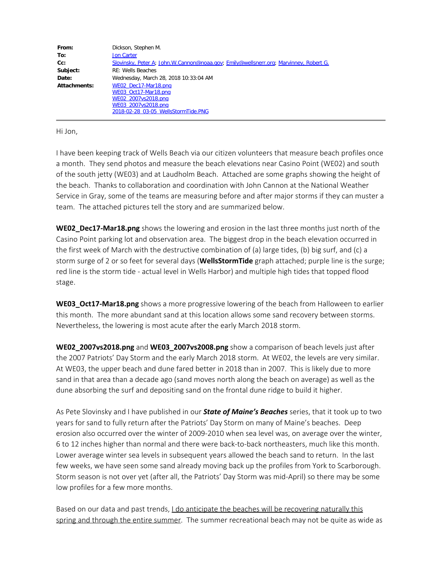| From:        | Dickson, Stephen M.                                                                   |
|--------------|---------------------------------------------------------------------------------------|
| To:          | <b>Jon Carter</b>                                                                     |
| Cc:          | Slovinsky, Peter A; John.W.Cannon@noaa.gov; Emily@wellsnerr.org; Marvinney, Robert G. |
| Subject:     | <b>RE: Wells Beaches</b>                                                              |
| Date:        | Wednesday, March 28, 2018 10:33:04 AM                                                 |
| Attachments: | WE02 Dec17-Mar18.png                                                                  |
|              | WE03 Oct17-Mar18.png                                                                  |
|              | WE02 2007vs2018.png                                                                   |
|              | WE03 2007vs2018.png                                                                   |
|              | 2018-02-28 03-05 WellsStormTide.PNG                                                   |

Hi Jon,

I have been keeping track of Wells Beach via our citizen volunteers that measure beach profiles once a month. They send photos and measure the beach elevations near Casino Point (WE02) and south of the south jetty (WE03) and at Laudholm Beach. Attached are some graphs showing the height of the beach. Thanks to collaboration and coordination with John Cannon at the National Weather Service in Gray, some of the teams are measuring before and after major storms if they can muster a team. The attached pictures tell the story and are summarized below.

**WE02\_Dec17-Mar18.png** shows the lowering and erosion in the last three months just north of the Casino Point parking lot and observation area. The biggest drop in the beach elevation occurred in the first week of March with the destructive combination of (a) large tides, (b) big surf, and (c) a storm surge of 2 or so feet for several days (**WellsStormTide** graph attached; purple line is the surge; red line is the storm tide - actual level in Wells Harbor) and multiple high tides that topped flood stage.

**WE03\_Oct17-Mar18.png** shows a more progressive lowering of the beach from Halloween to earlier this month. The more abundant sand at this location allows some sand recovery between storms. Nevertheless, the lowering is most acute after the early March 2018 storm.

**WE02\_2007vs2018.png** and **WE03\_2007vs2008.png** show a comparison of beach levels just after the 2007 Patriots' Day Storm and the early March 2018 storm. At WE02, the levels are very similar. At WE03, the upper beach and dune fared better in 2018 than in 2007. This is likely due to more sand in that area than a decade ago (sand moves north along the beach on average) as well as the dune absorbing the surf and depositing sand on the frontal dune ridge to build it higher.

As Pete Slovinsky and I have published in our *State of Maine's Beaches* series, that it took up to two years for sand to fully return after the Patriots' Day Storm on many of Maine's beaches. Deep erosion also occurred over the winter of 2009-2010 when sea level was, on average over the winter, 6 to 12 inches higher than normal and there were back-to-back northeasters, much like this month. Lower average winter sea levels in subsequent years allowed the beach sand to return. In the last few weeks, we have seen some sand already moving back up the profiles from York to Scarborough. Storm season is not over yet (after all, the Patriots' Day Storm was mid-April) so there may be some low profiles for a few more months.

Based on our data and past trends, *I do anticipate the beaches will be recovering naturally this* spring and through the entire summer. The summer recreational beach may not be quite as wide as